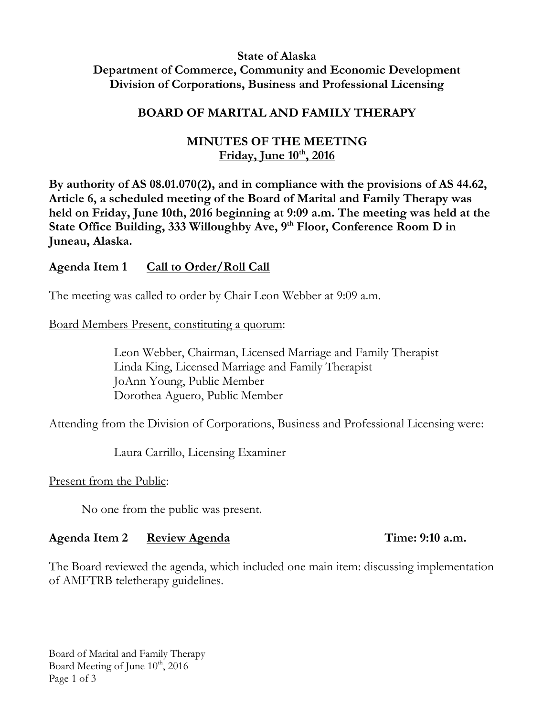## **State of Alaska Department of Commerce, Community and Economic Development Division of Corporations, Business and Professional Licensing**

### **BOARD OF MARITAL AND FAMILY THERAPY**

## **MINUTES OF THE MEETING Friday, June 10th, 2016**

**By authority of AS 08.01.070(2), and in compliance with the provisions of AS 44.62, Article 6, a scheduled meeting of the Board of Marital and Family Therapy was held on Friday, June 10th, 2016 beginning at 9:09 a.m. The meeting was held at the State Office Building, 333 Willoughby Ave, 9 th Floor, Conference Room D in Juneau, Alaska.** 

## **Agenda Item 1 Call to Order/Roll Call**

The meeting was called to order by Chair Leon Webber at 9:09 a.m.

Board Members Present, constituting a quorum:

Leon Webber, Chairman, Licensed Marriage and Family Therapist Linda King, Licensed Marriage and Family Therapist JoAnn Young, Public Member Dorothea Aguero, Public Member

Attending from the Division of Corporations, Business and Professional Licensing were:

Laura Carrillo, Licensing Examiner

Present from the Public:

No one from the public was present.

### **Agenda Item 2 Review Agenda Time: 9:10 a.m.**

The Board reviewed the agenda, which included one main item: discussing implementation of AMFTRB teletherapy guidelines.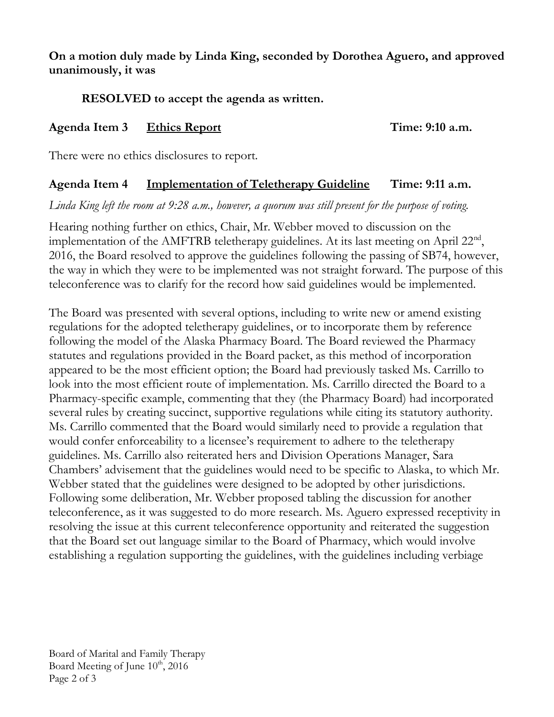## **On a motion duly made by Linda King, seconded by Dorothea Aguero, and approved unanimously, it was**

# **RESOLVED to accept the agenda as written.**

## **Agenda Item 3 Ethics Report Time: 9:10 a.m.**

There were no ethics disclosures to report.

# **Agenda Item 4 Implementation of Teletherapy Guideline Time: 9:11 a.m.**

*Linda King left the room at 9:28 a.m., however, a quorum was still present for the purpose of voting.*

Hearing nothing further on ethics, Chair, Mr. Webber moved to discussion on the implementation of the AMFTRB teletherapy guidelines. At its last meeting on April  $22<sup>nd</sup>$ , 2016, the Board resolved to approve the guidelines following the passing of SB74, however, the way in which they were to be implemented was not straight forward. The purpose of this teleconference was to clarify for the record how said guidelines would be implemented.

The Board was presented with several options, including to write new or amend existing regulations for the adopted teletherapy guidelines, or to incorporate them by reference following the model of the Alaska Pharmacy Board. The Board reviewed the Pharmacy statutes and regulations provided in the Board packet, as this method of incorporation appeared to be the most efficient option; the Board had previously tasked Ms. Carrillo to look into the most efficient route of implementation. Ms. Carrillo directed the Board to a Pharmacy-specific example, commenting that they (the Pharmacy Board) had incorporated several rules by creating succinct, supportive regulations while citing its statutory authority. Ms. Carrillo commented that the Board would similarly need to provide a regulation that would confer enforceability to a licensee's requirement to adhere to the teletherapy guidelines. Ms. Carrillo also reiterated hers and Division Operations Manager, Sara Chambers' advisement that the guidelines would need to be specific to Alaska, to which Mr. Webber stated that the guidelines were designed to be adopted by other jurisdictions. Following some deliberation, Mr. Webber proposed tabling the discussion for another teleconference, as it was suggested to do more research. Ms. Aguero expressed receptivity in resolving the issue at this current teleconference opportunity and reiterated the suggestion that the Board set out language similar to the Board of Pharmacy, which would involve establishing a regulation supporting the guidelines, with the guidelines including verbiage

Board of Marital and Family Therapy Board Meeting of June 10<sup>th</sup>, 2016 Page 2 of 3